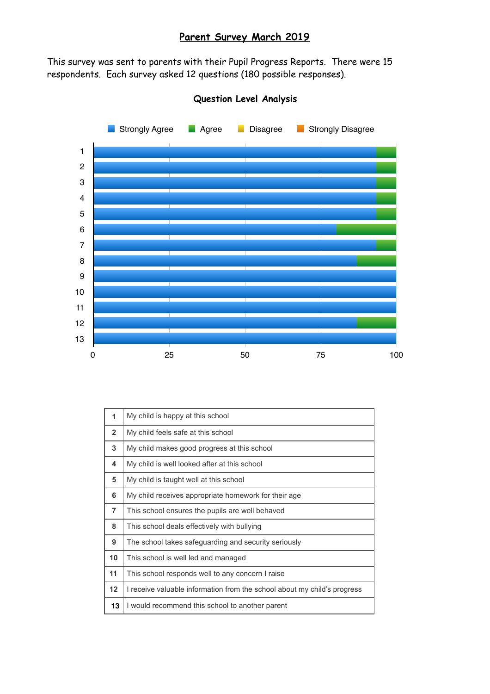# **Parent Survey March 2019**

This survey was sent to parents with their Pupil Progress Reports. There were 15 respondents. Each survey asked 12 questions (180 possible responses).



### **Question Level Analysis**

| 1                 | My child is happy at this school                                         |
|-------------------|--------------------------------------------------------------------------|
| $\overline{2}$    | My child feels safe at this school                                       |
| 3                 | My child makes good progress at this school                              |
| 4                 | My child is well looked after at this school                             |
| 5                 | My child is taught well at this school                                   |
| 6                 | My child receives appropriate homework for their age.                    |
| 7                 | This school ensures the pupils are well behaved                          |
| 8                 | This school deals effectively with bullying                              |
| 9                 | The school takes safeguarding and security seriously                     |
| 10                | This school is well led and managed                                      |
| 11                | This school responds well to any concern I raise                         |
| $12 \overline{ }$ | I receive valuable information from the school about my child's progress |
| 13                | I would recommend this school to another parent                          |